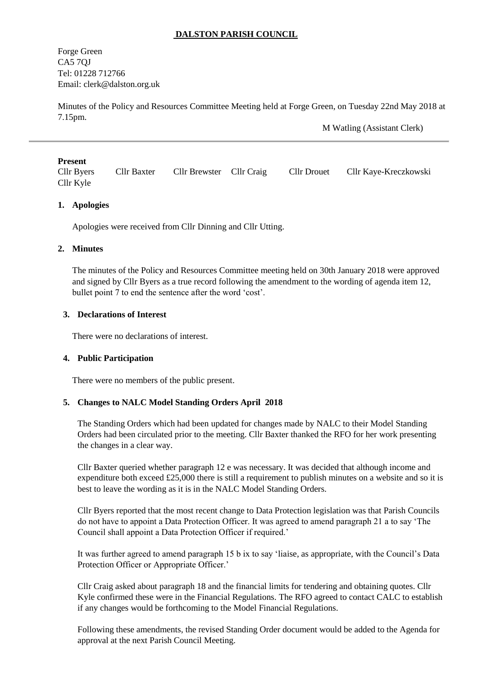## **DALSTON PARISH COUNCIL**

Forge Green CA5 7QJ Tel: 01228 712766 Email: [clerk@dalston.org.uk](mailto:clerk@dalston.org.uk)

Minutes of the Policy and Resources Committee Meeting held at Forge Green, on Tuesday 22nd May 2018 at 7.15pm.

M Watling (Assistant Clerk)

### **Present**

Cllr Byers Cllr Baxter Cllr Brewster Cllr Craig Cllr Drouet Cllr Kaye-Kreczkowski Cllr Kyle

### **1. Apologies**

Apologies were received from Cllr Dinning and Cllr Utting.

#### **2. Minutes**

The minutes of the Policy and Resources Committee meeting held on 30th January 2018 were approved and signed by Cllr Byers as a true record following the amendment to the wording of agenda item 12, bullet point 7 to end the sentence after the word 'cost'.

### **3. Declarations of Interest**

There were no declarations of interest.

#### **4. Public Participation**

There were no members of the public present.

#### **5. Changes to NALC Model Standing Orders April 2018**

The Standing Orders which had been updated for changes made by NALC to their Model Standing Orders had been circulated prior to the meeting. Cllr Baxter thanked the RFO for her work presenting the changes in a clear way.

Cllr Baxter queried whether paragraph 12 e was necessary. It was decided that although income and expenditure both exceed £25,000 there is still a requirement to publish minutes on a website and so it is best to leave the wording as it is in the NALC Model Standing Orders.

Cllr Byers reported that the most recent change to Data Protection legislation was that Parish Councils do not have to appoint a Data Protection Officer. It was agreed to amend paragraph 21 a to say 'The Council shall appoint a Data Protection Officer if required.'

It was further agreed to amend paragraph 15 b ix to say 'liaise, as appropriate, with the Council's Data Protection Officer or Appropriate Officer.'

Cllr Craig asked about paragraph 18 and the financial limits for tendering and obtaining quotes. Cllr Kyle confirmed these were in the Financial Regulations. The RFO agreed to contact CALC to establish if any changes would be forthcoming to the Model Financial Regulations.

Following these amendments, the revised Standing Order document would be added to the Agenda for approval at the next Parish Council Meeting.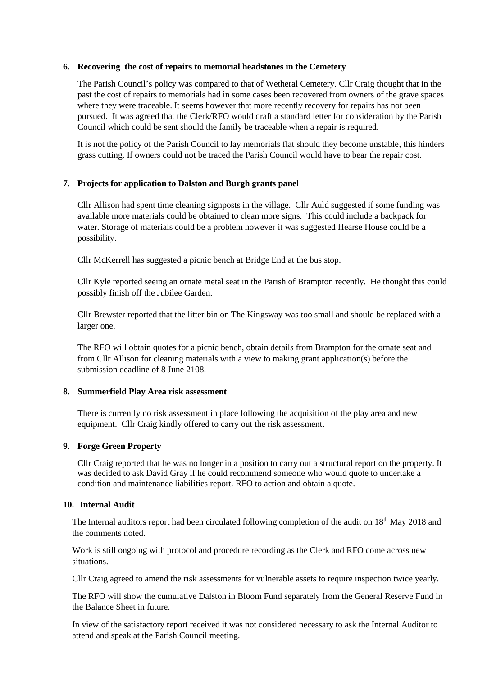### **6. Recovering the cost of repairs to memorial headstones in the Cemetery**

The Parish Council's policy was compared to that of Wetheral Cemetery. Cllr Craig thought that in the past the cost of repairs to memorials had in some cases been recovered from owners of the grave spaces where they were traceable. It seems however that more recently recovery for repairs has not been pursued. It was agreed that the Clerk/RFO would draft a standard letter for consideration by the Parish Council which could be sent should the family be traceable when a repair is required.

It is not the policy of the Parish Council to lay memorials flat should they become unstable, this hinders grass cutting. If owners could not be traced the Parish Council would have to bear the repair cost.

# **7. Projects for application to Dalston and Burgh grants panel**

Cllr Allison had spent time cleaning signposts in the village. Cllr Auld suggested if some funding was available more materials could be obtained to clean more signs. This could include a backpack for water. Storage of materials could be a problem however it was suggested Hearse House could be a possibility.

Cllr McKerrell has suggested a picnic bench at Bridge End at the bus stop.

Cllr Kyle reported seeing an ornate metal seat in the Parish of Brampton recently. He thought this could possibly finish off the Jubilee Garden.

Cllr Brewster reported that the litter bin on The Kingsway was too small and should be replaced with a larger one.

The RFO will obtain quotes for a picnic bench, obtain details from Brampton for the ornate seat and from Cllr Allison for cleaning materials with a view to making grant application(s) before the submission deadline of 8 June 2108.

#### **8. Summerfield Play Area risk assessment**

There is currently no risk assessment in place following the acquisition of the play area and new equipment. Cllr Craig kindly offered to carry out the risk assessment.

## **9. Forge Green Property**

Cllr Craig reported that he was no longer in a position to carry out a structural report on the property. It was decided to ask David Gray if he could recommend someone who would quote to undertake a condition and maintenance liabilities report. RFO to action and obtain a quote.

### **10. Internal Audit**

The Internal auditors report had been circulated following completion of the audit on 18<sup>th</sup> May 2018 and the comments noted.

Work is still ongoing with protocol and procedure recording as the Clerk and RFO come across new situations.

Cllr Craig agreed to amend the risk assessments for vulnerable assets to require inspection twice yearly.

The RFO will show the cumulative Dalston in Bloom Fund separately from the General Reserve Fund in the Balance Sheet in future.

In view of the satisfactory report received it was not considered necessary to ask the Internal Auditor to attend and speak at the Parish Council meeting.